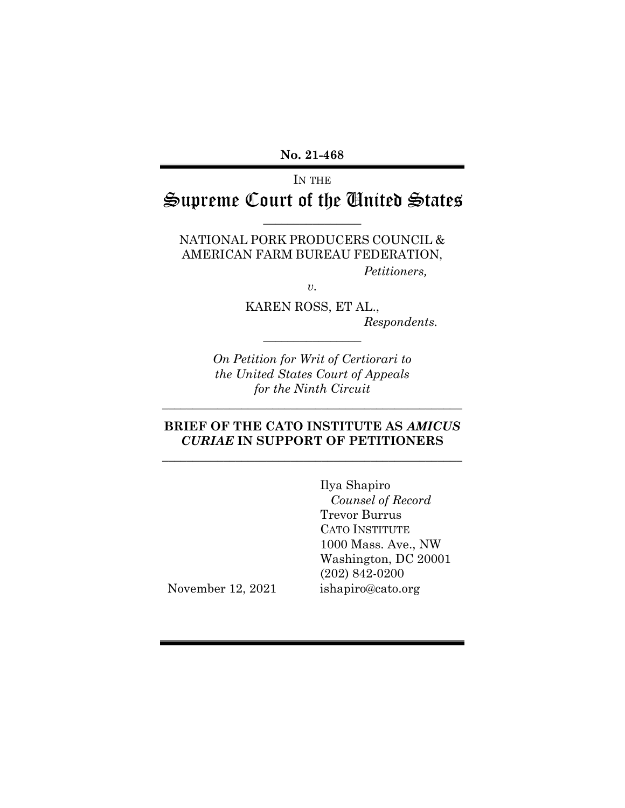**No. 21-468**

# IN THE Supreme Court of the United States

 $\overline{\phantom{a}}$  , where  $\overline{\phantom{a}}$ 

NATIONAL PORK PRODUCERS COUNCIL & AMERICAN FARM BUREAU FEDERATION, *Petitioners,*

*v.*

KAREN ROSS, ET AL., *Respondents.*

*On Petition for Writ of Certiorari to the United States Court of Appeals for the Ninth Circuit*

 $\overline{\phantom{a}}$  , where  $\overline{\phantom{a}}$ 

# **BRIEF OF THE CATO INSTITUTE AS** *AMICUS CURIAE* **IN SUPPORT OF PETITIONERS**

\_\_\_\_\_\_\_\_\_\_\_\_\_\_\_\_\_\_\_\_\_\_\_\_\_\_\_\_\_\_\_\_\_\_\_\_\_\_\_\_\_\_\_\_\_\_\_\_\_

\_\_\_\_\_\_\_\_\_\_\_\_\_\_\_\_\_\_\_\_\_\_\_\_\_\_\_\_\_\_\_\_\_\_\_\_\_\_\_\_\_\_\_\_\_\_\_\_\_

Ilya Shapiro  *Counsel of Record*  Trevor Burrus CATO INSTITUTE 1000 Mass. Ave., NW Washington, DC 20001 (202) 842-0200 ishapiro@cato.org

November 12, 2021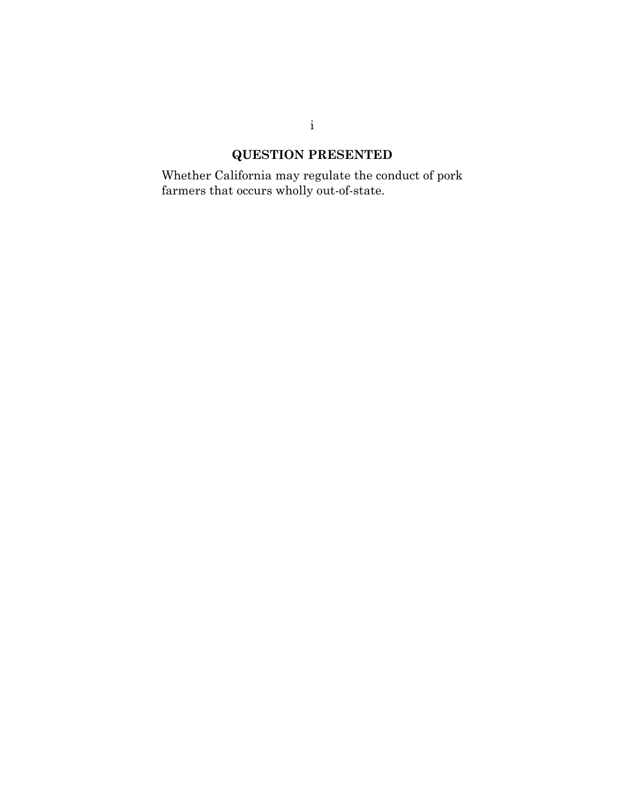# **QUESTION PRESENTED**

<span id="page-1-0"></span>Whether California may regulate the conduct of pork farmers that occurs wholly out-of-state.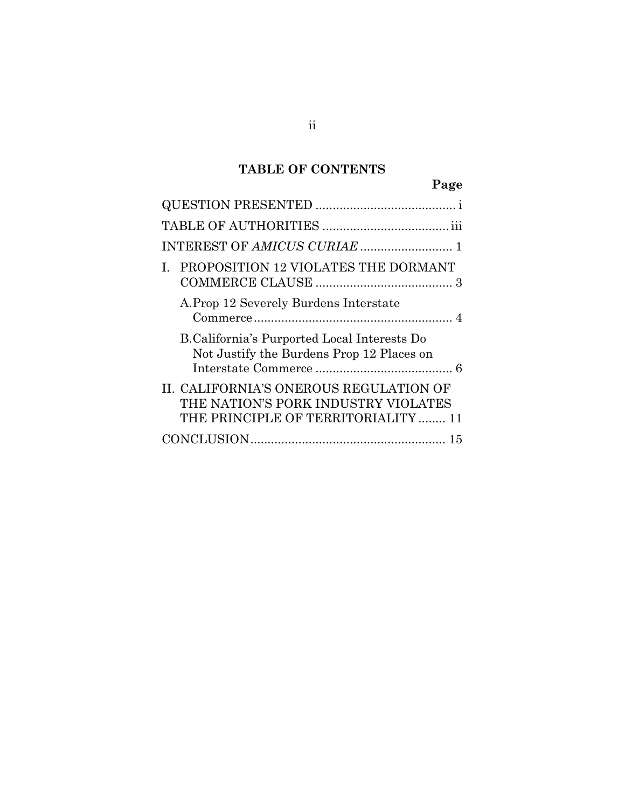# **TABLE OF CONTENTS**

 **Page**

| INTEREST OF AMICUS CURIAE  1                                                                                         |
|----------------------------------------------------------------------------------------------------------------------|
| PROPOSITION 12 VIOLATES THE DORMANT                                                                                  |
| A. Prop 12 Severely Burdens Interstate                                                                               |
| B. California's Purported Local Interests Do<br>Not Justify the Burdens Prop 12 Places on                            |
| II. CALIFORNIA'S ONEROUS REGULATION OF<br>THE NATION'S PORK INDUSTRY VIOLATES<br>THE PRINCIPLE OF TERRITORIALITY  11 |
|                                                                                                                      |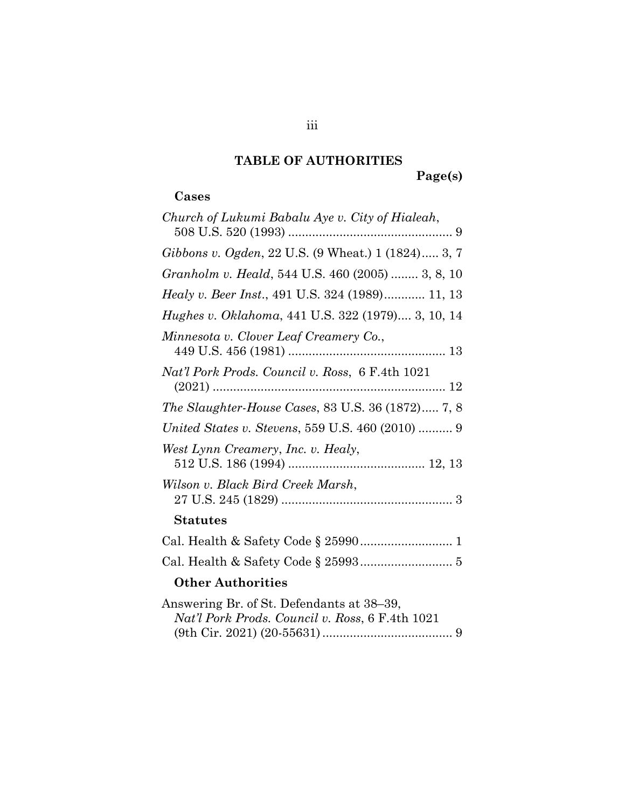# **TABLE OF AUTHORITIES**

**Page(s)**

# <span id="page-3-0"></span>**Cases**

| Church of Lukumi Babalu Aye v. City of Hialeah,                                              |
|----------------------------------------------------------------------------------------------|
| Gibbons v. Ogden, 22 U.S. (9 Wheat.) 1 (1824) 3, 7                                           |
| Granholm v. Heald, 544 U.S. 460 (2005)  3, 8, 10                                             |
| Healy v. Beer Inst., 491 U.S. 324 (1989) 11, 13                                              |
| Hughes v. Oklahoma, 441 U.S. 322 (1979) 3, 10, 14                                            |
| Minnesota v. Clover Leaf Creamery Co.,                                                       |
| Nat'l Pork Prods. Council v. Ross, 6 F.4th 1021                                              |
| <i>The Slaughter-House Cases, 83 U.S. 36 (1872) 7, 8</i>                                     |
| United States v. Stevens, 559 U.S. 460 (2010)  9                                             |
| West Lynn Creamery, Inc. v. Healy,                                                           |
| Wilson v. Black Bird Creek Marsh,                                                            |
| <b>Statutes</b>                                                                              |
|                                                                                              |
|                                                                                              |
| <b>Other Authorities</b>                                                                     |
| Answering Br. of St. Defendants at 38–39,<br>Nat'l Pork Prods. Council v. Ross, 6 F.4th 1021 |

(9th Cir. 2021) (20-55631)...................................... 9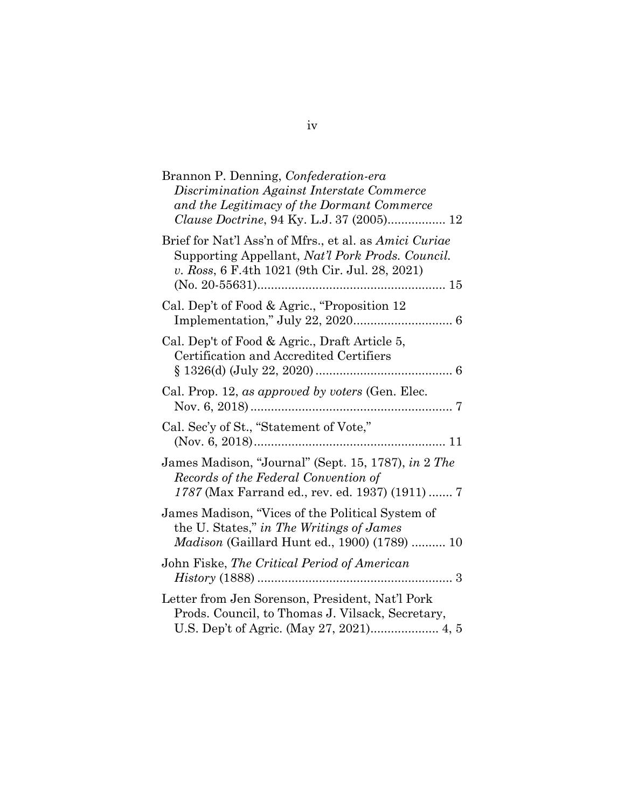| Brannon P. Denning, Confederation-era<br>Discrimination Against Interstate Commerce<br>and the Legitimacy of the Dormant Commerce                            |
|--------------------------------------------------------------------------------------------------------------------------------------------------------------|
| Brief for Nat'l Ass'n of Mfrs., et al. as Amici Curiae<br>Supporting Appellant, Nat'l Pork Prods. Council.<br>v. Ross, 6 F.4th 1021 (9th Cir. Jul. 28, 2021) |
| Cal. Dep't of Food & Agric., "Proposition 12                                                                                                                 |
| Cal. Dep't of Food & Agric., Draft Article 5,<br>Certification and Accredited Certifiers                                                                     |
| Cal. Prop. 12, as approved by voters (Gen. Elec.                                                                                                             |
| Cal. Sec'y of St., "Statement of Vote,"                                                                                                                      |
| James Madison, "Journal" (Sept. 15, 1787), in 2 The<br>Records of the Federal Convention of<br>1787 (Max Farrand ed., rev. ed. 1937) (1911)  7               |
| James Madison, "Vices of the Political System of<br>the U. States," in The Writings of James<br><i>Madison</i> (Gaillard Hunt ed., 1900) (1789)  10          |
| John Fiske, The Critical Period of American                                                                                                                  |
| Letter from Jen Sorenson, President, Nat'l Pork<br>Prods. Council, to Thomas J. Vilsack, Secretary,                                                          |
|                                                                                                                                                              |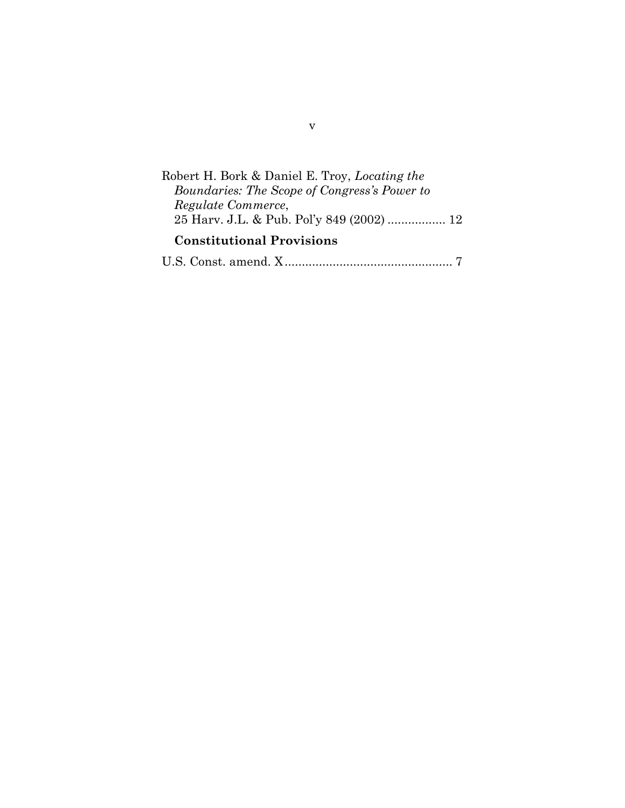| Robert H. Bork & Daniel E. Troy, Locating the |
|-----------------------------------------------|
| Boundaries: The Scope of Congress's Power to  |
| Regulate Commerce,                            |
|                                               |
| <b>Constitutional Provisions</b>              |
|                                               |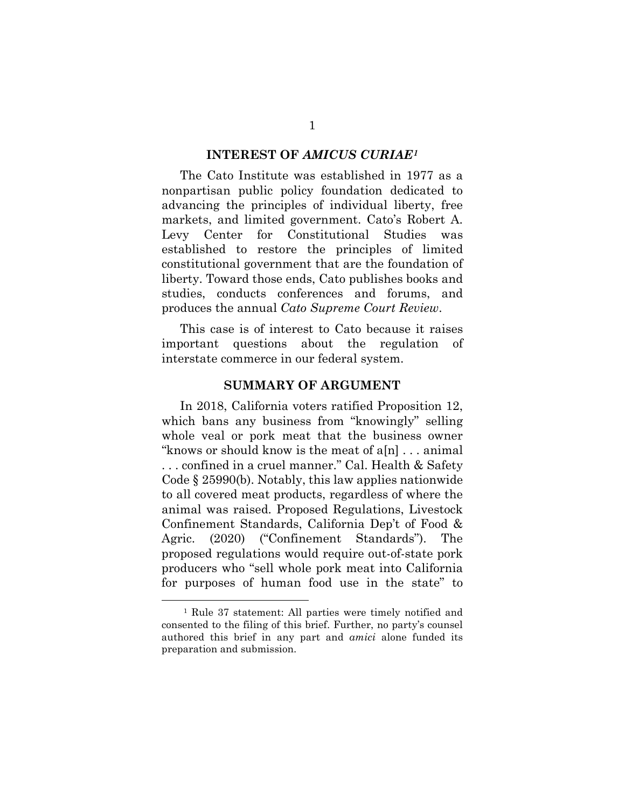#### **INTEREST OF** *AMICUS CURIAE[1](#page-6-1)*

<span id="page-6-0"></span>The Cato Institute was established in 1977 as a nonpartisan public policy foundation dedicated to advancing the principles of individual liberty, free markets, and limited government. Cato's Robert A. Levy Center for Constitutional Studies was established to restore the principles of limited constitutional government that are the foundation of liberty. Toward those ends, Cato publishes books and studies, conducts conferences and forums, and produces the annual *Cato Supreme Court Review*.

This case is of interest to Cato because it raises important questions about the regulation of interstate commerce in our federal system.

#### **SUMMARY OF ARGUMENT**

In 2018, California voters ratified Proposition 12, which bans any business from "knowingly" selling whole veal or pork meat that the business owner "knows or should know is the meat of a[n] . . . animal . . . confined in a cruel manner." Cal. Health & Safety Code § 25990(b). Notably, this law applies nationwide to all covered meat products, regardless of where the animal was raised. Proposed Regulations, Livestock Confinement Standards, California Dep't of Food & Agric. (2020) ("Confinement Standards"). The proposed regulations would require out-of-state pork producers who "sell whole pork meat into California for purposes of human food use in the state" to

<span id="page-6-1"></span><sup>1</sup> Rule 37 statement: All parties were timely notified and consented to the filing of this brief. Further, no party's counsel authored this brief in any part and *amici* alone funded its preparation and submission.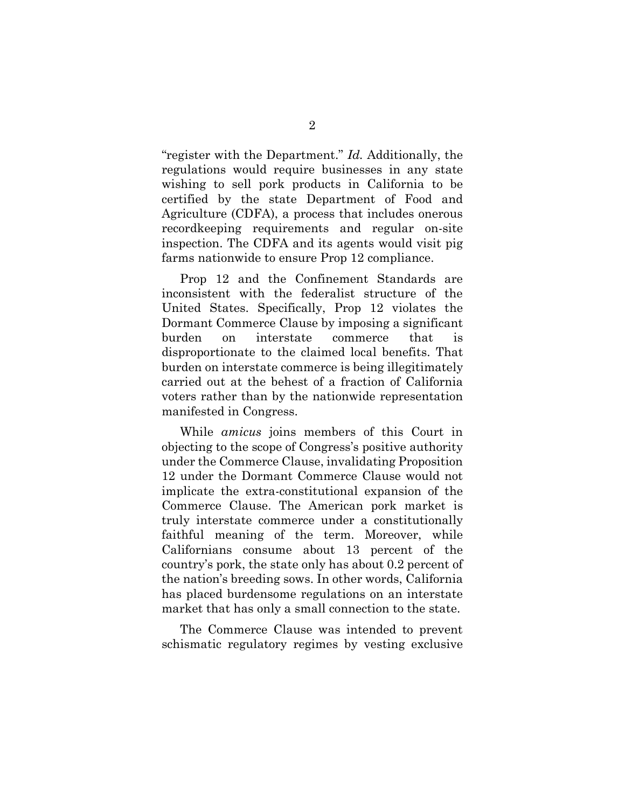"register with the Department." *Id.* Additionally, the regulations would require businesses in any state wishing to sell pork products in California to be certified by the state Department of Food and Agriculture (CDFA), a process that includes onerous recordkeeping requirements and regular on-site inspection. The CDFA and its agents would visit pig farms nationwide to ensure Prop 12 compliance.

Prop 12 and the Confinement Standards are inconsistent with the federalist structure of the United States. Specifically, Prop 12 violates the Dormant Commerce Clause by imposing a significant burden on interstate commerce that is disproportionate to the claimed local benefits. That burden on interstate commerce is being illegitimately carried out at the behest of a fraction of California voters rather than by the nationwide representation manifested in Congress.

While *amicus* joins members of this Court in objecting to the scope of Congress's positive authority under the Commerce Clause, invalidating Proposition 12 under the Dormant Commerce Clause would not implicate the extra-constitutional expansion of the Commerce Clause. The American pork market is truly interstate commerce under a constitutionally faithful meaning of the term. Moreover, while Californians consume about 13 percent of the country's pork, the state only has about 0.2 percent of the nation's breeding sows. In other words, California has placed burdensome regulations on an interstate market that has only a small connection to the state.

The Commerce Clause was intended to prevent schismatic regulatory regimes by vesting exclusive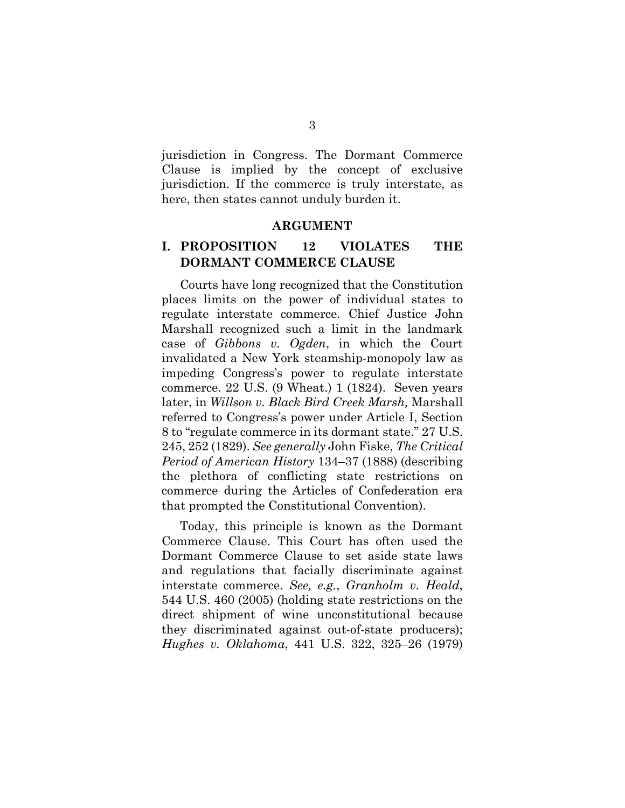jurisdiction in Congress. The Dormant Commerce Clause is implied by the concept of exclusive jurisdiction. If the commerce is truly interstate, as here, then states cannot unduly burden it.

#### **ARGUMENT**

# <span id="page-8-0"></span>**I. PROPOSITION 12 VIOLATES THE DORMANT COMMERCE CLAUSE**

Courts have long recognized that the Constitution places limits on the power of individual states to regulate interstate commerce. Chief Justice John Marshall recognized such a limit in the landmark case of *Gibbons v. Ogden*, in which the Court invalidated a New York steamship-monopoly law as impeding Congress's power to regulate interstate commerce. 22 U.S. (9 Wheat.) 1 (1824). Seven years later, in *Willson v. Black Bird Creek Marsh,* Marshall referred to Congress's power under Article I, Section 8 to "regulate commerce in its dormant state." 27 U.S. 245, 252 (1829). *See generally* John Fiske, *The Critical Period of American History* 134–37 (1888) (describing the plethora of conflicting state restrictions on commerce during the Articles of Confederation era that prompted the Constitutional Convention).

Today, this principle is known as the Dormant Commerce Clause. This Court has often used the Dormant Commerce Clause to set aside state laws and regulations that facially discriminate against interstate commerce. *See, e.g.*, *Granholm v. Heald*, 544 U.S. 460 (2005) (holding state restrictions on the direct shipment of wine unconstitutional because they discriminated against out-of-state producers); *Hughes v. Oklahoma*, 441 U.S. 322, 325–26 (1979)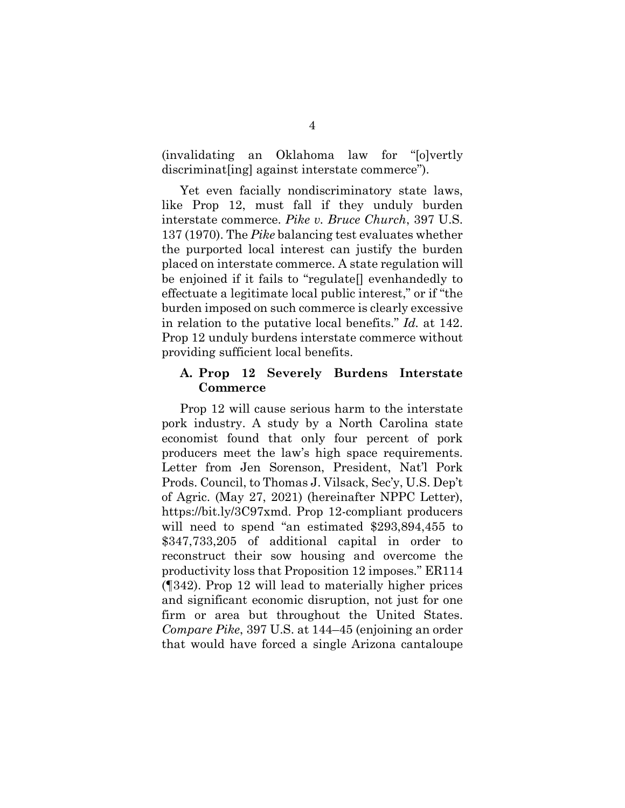(invalidating an Oklahoma law for "[o]vertly discriminat[ing] against interstate commerce").

Yet even facially nondiscriminatory state laws, like Prop 12, must fall if they unduly burden interstate commerce. *Pike v. Bruce Church*, 397 U.S. 137 (1970). The *Pike* balancing test evaluates whether the purported local interest can justify the burden placed on interstate commerce. A state regulation will be enjoined if it fails to "regulate[] evenhandedly to effectuate a legitimate local public interest," or if "the burden imposed on such commerce is clearly excessive in relation to the putative local benefits." *Id.* at 142. Prop 12 unduly burdens interstate commerce without providing sufficient local benefits.

### <span id="page-9-0"></span>**A. Prop 12 Severely Burdens Interstate Commerce**

Prop 12 will cause serious harm to the interstate pork industry. A study by a North Carolina state economist found that only four percent of pork producers meet the law's high space requirements. Letter from Jen Sorenson, President, Nat'l Pork Prods. Council, to Thomas J. Vilsack, Sec'y, U.S. Dep't of Agric. (May 27, 2021) (hereinafter NPPC Letter), [https://bit.ly/3C97xmd.](https://bit.ly/3C97xmd) Prop 12-compliant producers will need to spend "an estimated \$293,894,455 to \$347,733,205 of additional capital in order to reconstruct their sow housing and overcome the productivity loss that Proposition 12 imposes." ER114 (¶342). Prop 12 will lead to materially higher prices and significant economic disruption, not just for one firm or area but throughout the United States. *Compare Pike*, 397 U.S. at 144–45 (enjoining an order that would have forced a single Arizona cantaloupe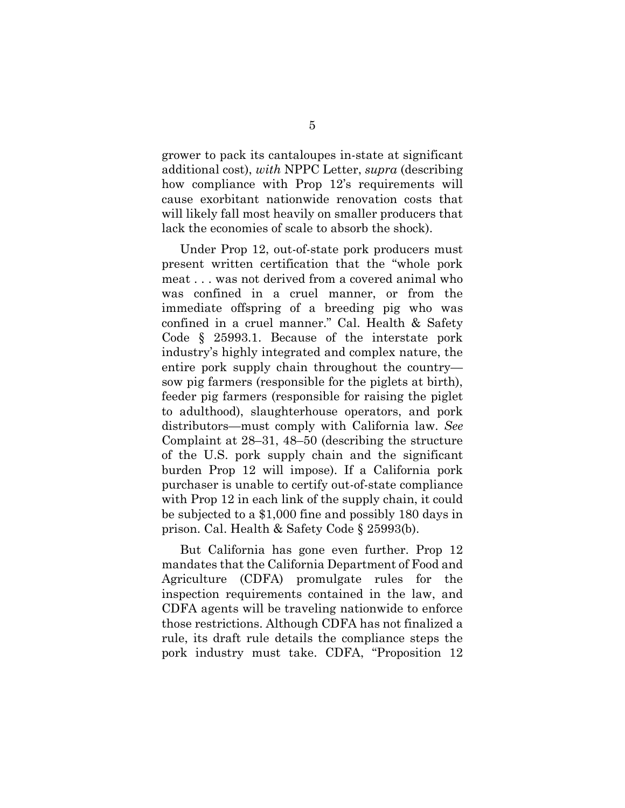grower to pack its cantaloupes in-state at significant additional cost), *with* NPPC Letter, *supra* (describing how compliance with Prop 12's requirements will cause exorbitant nationwide renovation costs that will likely fall most heavily on smaller producers that lack the economies of scale to absorb the shock).

Under Prop 12, out-of-state pork producers must present written certification that the "whole pork meat . . . was not derived from a covered animal who was confined in a cruel manner, or from the immediate offspring of a breeding pig who was confined in a cruel manner." Cal. Health & Safety Code § 25993.1. Because of the interstate pork industry's highly integrated and complex nature, the entire pork supply chain throughout the country sow pig farmers (responsible for the piglets at birth), feeder pig farmers (responsible for raising the piglet to adulthood), slaughterhouse operators, and pork distributors—must comply with California law. *See*  Complaint at 28–31, 48–50 (describing the structure of the U.S. pork supply chain and the significant burden Prop 12 will impose). If a California pork purchaser is unable to certify out-of-state compliance with Prop 12 in each link of the supply chain, it could be subjected to a \$1,000 fine and possibly 180 days in prison. Cal. Health & Safety Code § 25993(b).

But California has gone even further. Prop 12 mandates that the California Department of Food and Agriculture (CDFA) promulgate rules for the inspection requirements contained in the law, and CDFA agents will be traveling nationwide to enforce those restrictions. Although CDFA has not finalized a rule, its draft rule details the compliance steps the pork industry must take. CDFA, "Proposition 12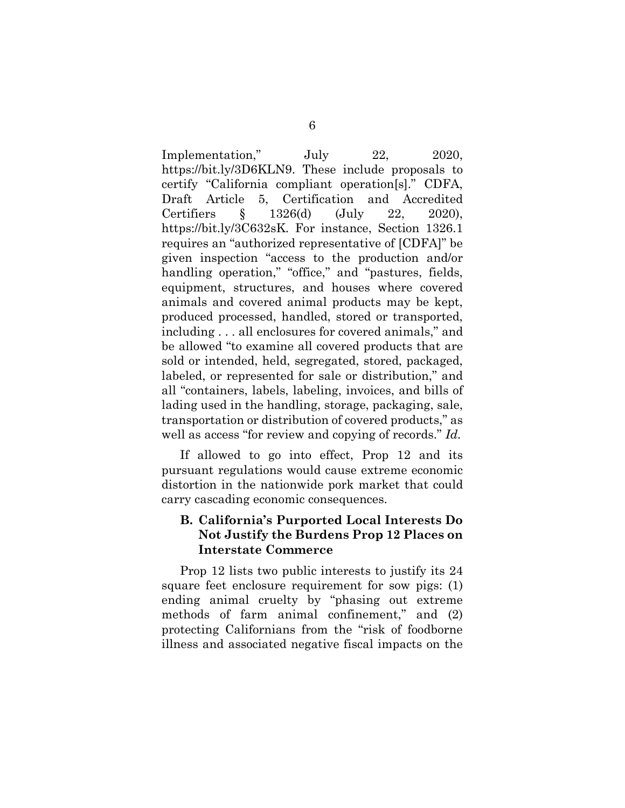Implementation," July 22, 2020, [https://bit.ly/3D6KLN9.](https://bit.ly/3D6KLN9) These include proposals to certify "California compliant operation[s]." CDFA, Draft Article 5, Certification and Accredited Certifiers § 1326(d) (July 22, 2020), [https://bit.ly/3C632sK.](https://bit.ly/3C632sK) For instance, Section 1326.1 requires an "authorized representative of [CDFA]" be given inspection "access to the production and/or handling operation," "office," and "pastures, fields, equipment, structures, and houses where covered animals and covered animal products may be kept, produced processed, handled, stored or transported, including . . . all enclosures for covered animals," and be allowed "to examine all covered products that are sold or intended, held, segregated, stored, packaged, labeled, or represented for sale or distribution," and all "containers, labels, labeling, invoices, and bills of lading used in the handling, storage, packaging, sale, transportation or distribution of covered products," as well as access "for review and copying of records." *Id.*

If allowed to go into effect, Prop 12 and its pursuant regulations would cause extreme economic distortion in the nationwide pork market that could carry cascading economic consequences.

# <span id="page-11-0"></span>**B. California's Purported Local Interests Do Not Justify the Burdens Prop 12 Places on Interstate Commerce**

Prop 12 lists two public interests to justify its 24 square feet enclosure requirement for sow pigs: (1) ending animal cruelty by "phasing out extreme methods of farm animal confinement," and (2) protecting Californians from the "risk of foodborne illness and associated negative fiscal impacts on the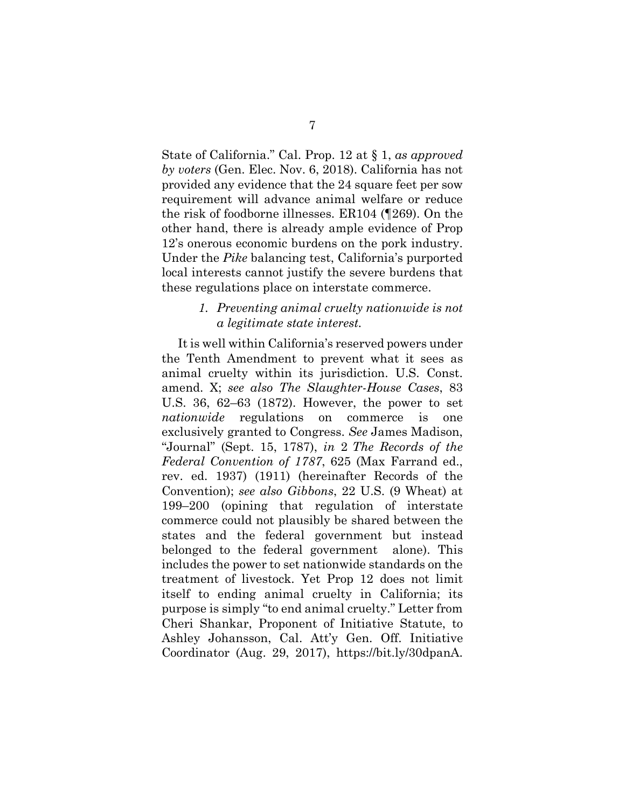State of California." Cal. Prop. 12 at § 1, *as approved by voters* (Gen. Elec. Nov. 6, 2018). California has not provided any evidence that the 24 square feet per sow requirement will advance animal welfare or reduce the risk of foodborne illnesses. ER104 (¶269). On the other hand, there is already ample evidence of Prop 12's onerous economic burdens on the pork industry. Under the *Pike* balancing test, California's purported local interests cannot justify the severe burdens that these regulations place on interstate commerce.

## *1. Preventing animal cruelty nationwide is not a legitimate state interest.*

It is well within California's reserved powers under the Tenth Amendment to prevent what it sees as animal cruelty within its jurisdiction. U.S. Const. amend. X; *see also The Slaughter-House Cases*, 83 U.S. 36, 62–63 (1872). However, the power to set *nationwide* regulations on commerce is one exclusively granted to Congress. *See* James Madison, "Journal" (Sept. 15, 1787), *in* 2 *The Records of the Federal Convention of 1787*, 625 (Max Farrand ed., rev. ed. 1937) (1911) (hereinafter Records of the Convention); *see also Gibbons*, 22 U.S. (9 Wheat) at 199–200 (opining that regulation of interstate commerce could not plausibly be shared between the states and the federal government but instead belonged to the federal government alone). This includes the power to set nationwide standards on the treatment of livestock. Yet Prop 12 does not limit itself to ending animal cruelty in California; its purpose is simply "to end animal cruelty." Letter from Cheri Shankar, Proponent of Initiative Statute, to Ashley Johansson, Cal. Att'y Gen. Off. Initiative Coordinator (Aug. 29, 2017), [https://bit.ly/30dpanA.](https://bit.ly/30dpanA)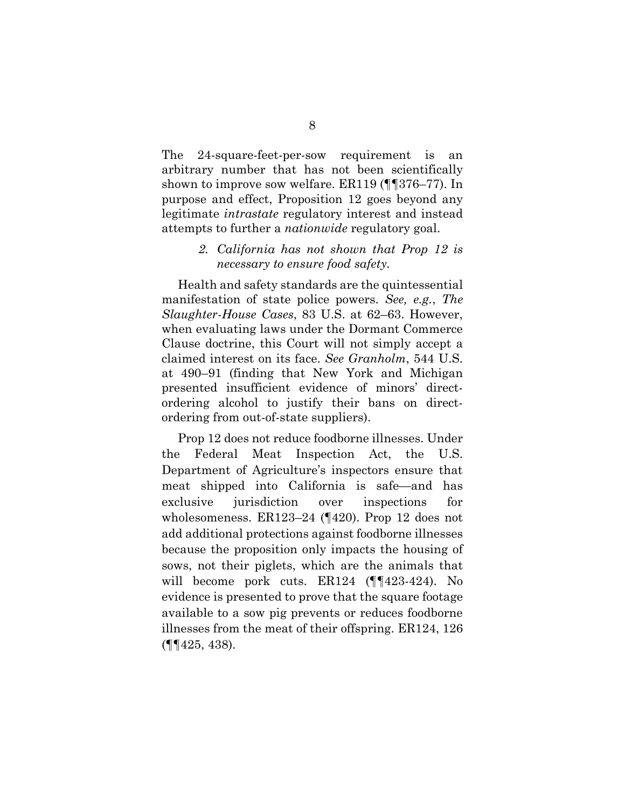The 24-square-feet-per-sow requirement is an arbitrary number that has not been scientifically shown to improve sow welfare. ER119 (¶¶376–77). In purpose and effect, Proposition 12 goes beyond any legitimate *intrastate* regulatory interest and instead attempts to further a *nationwide* regulatory goal.

## *2. California has not shown that Prop 12 is necessary to ensure food safety.*

Health and safety standards are the quintessential manifestation of state police powers. *See, e.g.*, *The Slaughter-House Cases*, 83 U.S. at 62–63. However, when evaluating laws under the Dormant Commerce Clause doctrine, this Court will not simply accept a claimed interest on its face. *See Granholm*, 544 U.S. at 490–91 (finding that New York and Michigan presented insufficient evidence of minors' directordering alcohol to justify their bans on directordering from out-of-state suppliers).

Prop 12 does not reduce foodborne illnesses. Under the Federal Meat Inspection Act, the U.S. Department of Agriculture's inspectors ensure that meat shipped into California is safe—and has exclusive jurisdiction over inspections for wholesomeness. ER123–24 (¶420). Prop 12 does not add additional protections against foodborne illnesses because the proposition only impacts the housing of sows, not their piglets, which are the animals that will become pork cuts. ER124 (¶¶423-424). No evidence is presented to prove that the square footage available to a sow pig prevents or reduces foodborne illnesses from the meat of their offspring. ER124, 126 (¶¶425, 438).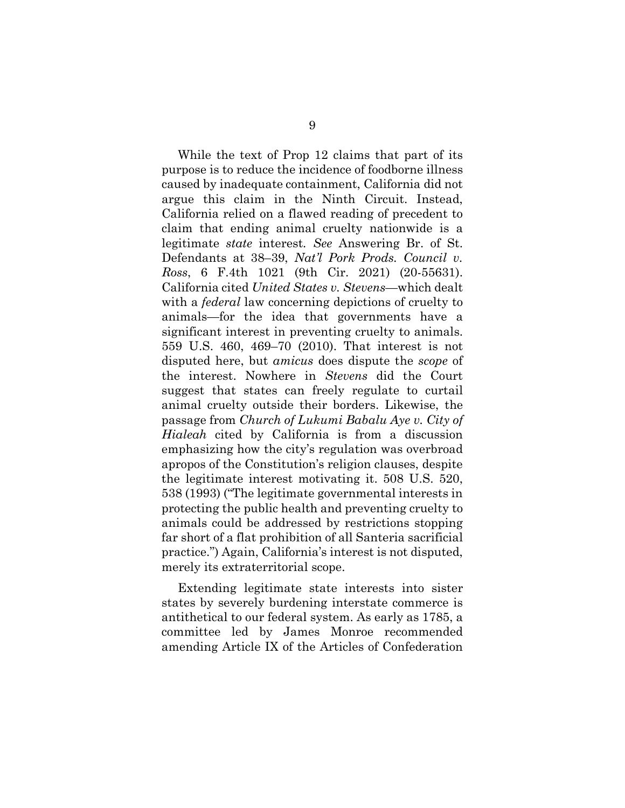While the text of Prop 12 claims that part of its purpose is to reduce the incidence of foodborne illness caused by inadequate containment, California did not argue this claim in the Ninth Circuit. Instead, California relied on a flawed reading of precedent to claim that ending animal cruelty nationwide is a legitimate *state* interest*. See* Answering Br. of St. Defendants at 38–39, *Nat'l Pork Prods. Council v. Ross*, 6 F.4th 1021 (9th Cir. 2021) (20-55631). California cited *United States v. Stevens*—which dealt with a *federal* law concerning depictions of cruelty to animals—for the idea that governments have a significant interest in preventing cruelty to animals. 559 U.S. 460, 469–70 (2010). That interest is not disputed here, but *amicus* does dispute the *scope* of the interest. Nowhere in *Stevens* did the Court suggest that states can freely regulate to curtail animal cruelty outside their borders. Likewise, the passage from *Church of Lukumi Babalu Aye v. City of Hialeah* cited by California is from a discussion emphasizing how the city's regulation was overbroad apropos of the Constitution's religion clauses, despite the legitimate interest motivating it. 508 U.S. 520, 538 (1993) ("The legitimate governmental interests in protecting the public health and preventing cruelty to animals could be addressed by restrictions stopping far short of a flat prohibition of all Santeria sacrificial practice.") Again, California's interest is not disputed, merely its extraterritorial scope.

Extending legitimate state interests into sister states by severely burdening interstate commerce is antithetical to our federal system. As early as 1785, a committee led by James Monroe recommended amending Article IX of the Articles of Confederation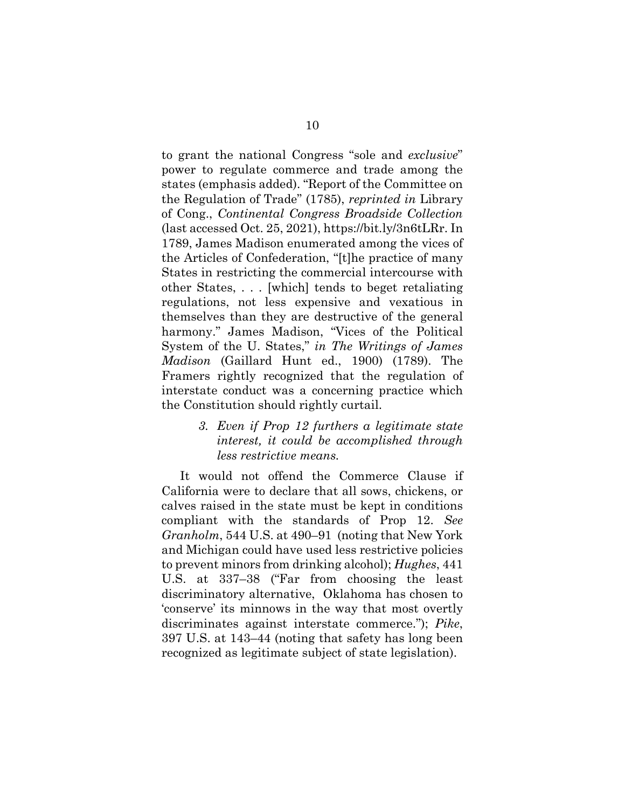to grant the national Congress "sole and *exclusive*" power to regulate commerce and trade among the states (emphasis added). "Report of the Committee on the Regulation of Trade" (1785), *reprinted in* Library of Cong., *Continental Congress Broadside Collection* (last accessed Oct. 25, 2021), [https://bit.ly/3n6tLRr.](https://bit.ly/3n6tLRr) In 1789, James Madison enumerated among the vices of the Articles of Confederation, "[t]he practice of many States in restricting the commercial intercourse with other States, . . . [which] tends to beget retaliating regulations, not less expensive and vexatious in themselves than they are destructive of the general harmony." James Madison, "Vices of the Political System of the U. States," *in The Writings of James Madison* (Gaillard Hunt ed., 1900) (1789). The Framers rightly recognized that the regulation of interstate conduct was a concerning practice which the Constitution should rightly curtail.

> *3. Even if Prop 12 furthers a legitimate state interest, it could be accomplished through less restrictive means.*

It would not offend the Commerce Clause if California were to declare that all sows, chickens, or calves raised in the state must be kept in conditions compliant with the standards of Prop 12. *See Granholm*, 544 U.S. at 490–91 (noting that New York and Michigan could have used less restrictive policies to prevent minors from drinking alcohol); *Hughes*, 441 U.S. at 337–38 ("Far from choosing the least discriminatory alternative, Oklahoma has chosen to 'conserve' its minnows in the way that most overtly discriminates against interstate commerce."); *Pike*, 397 U.S. at 143–44 (noting that safety has long been recognized as legitimate subject of state legislation).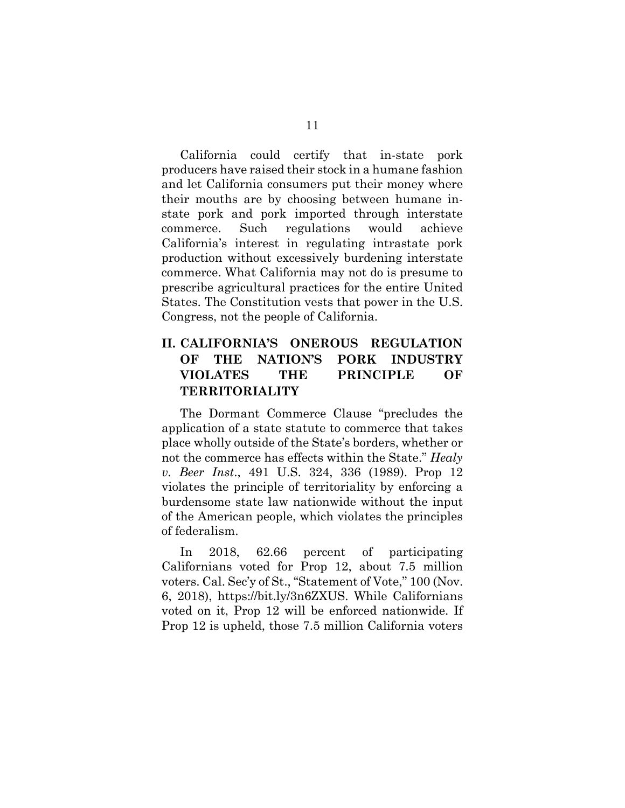California could certify that in-state pork producers have raised their stock in a humane fashion and let California consumers put their money where their mouths are by choosing between humane instate pork and pork imported through interstate commerce. Such regulations would achieve California's interest in regulating intrastate pork production without excessively burdening interstate commerce. What California may not do is presume to prescribe agricultural practices for the entire United States. The Constitution vests that power in the U.S. Congress, not the people of California.

# <span id="page-16-0"></span>**II. CALIFORNIA'S ONEROUS REGULATION OF THE NATION'S PORK INDUSTRY VIOLATES THE PRINCIPLE OF TERRITORIALITY**

The Dormant Commerce Clause "precludes the application of a state statute to commerce that takes place wholly outside of the State's borders, whether or not the commerce has effects within the State." *Healy v. Beer Inst*., 491 U.S. 324, 336 (1989). Prop 12 violates the principle of territoriality by enforcing a burdensome state law nationwide without the input of the American people, which violates the principles of federalism.

In 2018, 62.66 percent of participating Californians voted for Prop 12, about 7.5 million voters. Cal. Sec'y of St., "Statement of Vote," 100 (Nov. 6, 2018), [https://bit.ly/3n6ZXUS.](https://bit.ly/3n6ZXUS) While Californians voted on it, Prop 12 will be enforced nationwide. If Prop 12 is upheld, those 7.5 million California voters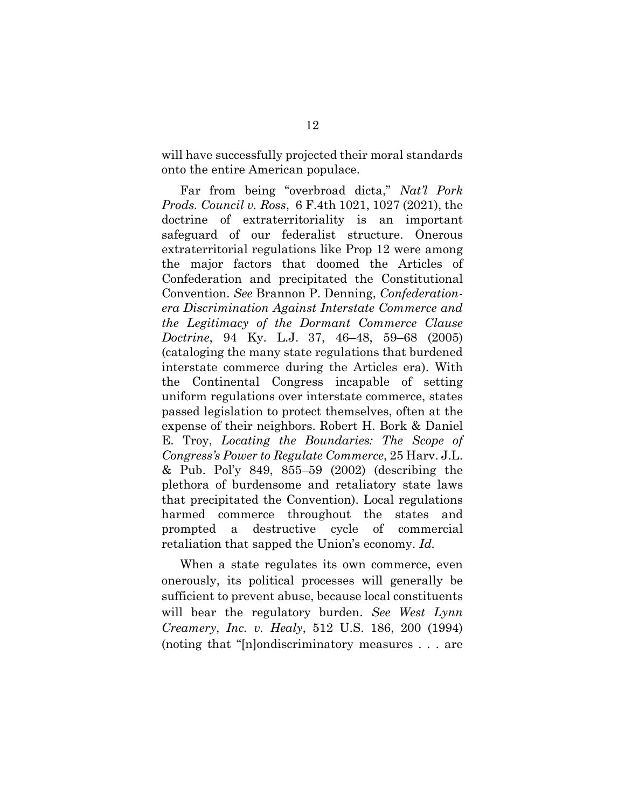will have successfully projected their moral standards onto the entire American populace.

Far from being "overbroad dicta," *Nat'l Pork Prods. Council v. Ross*, 6 F.4th 1021, 1027 (2021), the doctrine of extraterritoriality is an important safeguard of our federalist structure. Onerous extraterritorial regulations like Prop 12 were among the major factors that doomed the Articles of Confederation and precipitated the Constitutional Convention. *See* Brannon P. Denning, *Confederationera Discrimination Against Interstate Commerce and the Legitimacy of the Dormant Commerce Clause Doctrine*, 94 Ky. L.J. 37, 46–48, 59–68 (2005) (cataloging the many state regulations that burdened interstate commerce during the Articles era). With the Continental Congress incapable of setting uniform regulations over interstate commerce, states passed legislation to protect themselves, often at the expense of their neighbors. Robert H. Bork & Daniel E. Troy, *Locating the Boundaries: The Scope of Congress's Power to Regulate Commerce*, 25 Harv. J.L. & Pub. Pol'y 849, 855–59 (2002) (describing the plethora of burdensome and retaliatory state laws that precipitated the Convention). Local regulations harmed commerce throughout the states and prompted a destructive cycle of commercial retaliation that sapped the Union's economy. *Id.*

When a state regulates its own commerce, even onerously, its political processes will generally be sufficient to prevent abuse, because local constituents will bear the regulatory burden. *See West Lynn Creamery*, *Inc. v. Healy*, 512 U.S. 186, 200 (1994) (noting that "[n]ondiscriminatory measures . . . are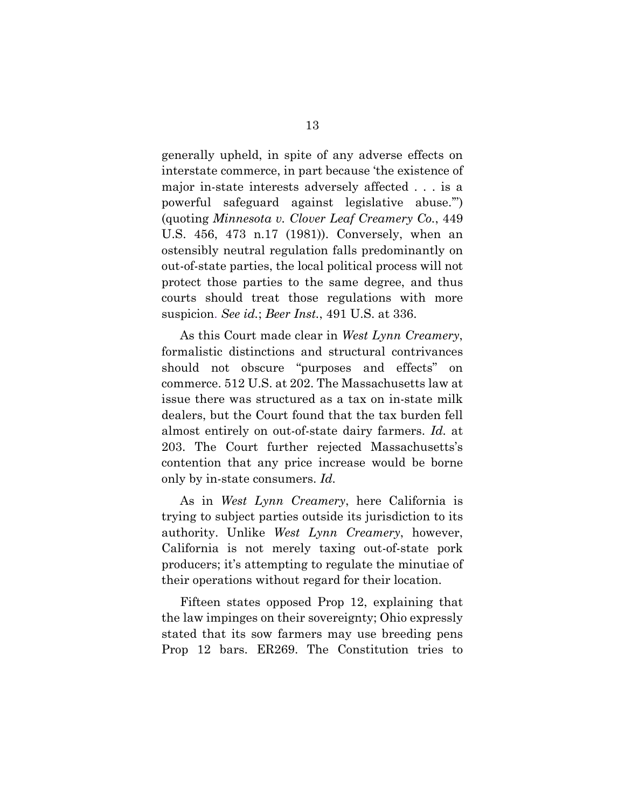generally upheld, in spite of any adverse effects on interstate commerce, in part because 'the existence of major in-state interests adversely affected . . . is a powerful safeguard against legislative abuse.'") (quoting *Minnesota v. Clover Leaf Creamery Co.*, 449 U.S. 456, 473 n.17 (1981)). Conversely, when an ostensibly neutral regulation falls predominantly on out-of-state parties, the local political process will not protect those parties to the same degree, and thus courts should treat those regulations with more suspicion. *See id.*; *Beer Inst.*, 491 U.S. at 336.

As this Court made clear in *West Lynn Creamery*, formalistic distinctions and structural contrivances should not obscure "purposes and effects" on commerce. 512 U.S. at 202. The Massachusetts law at issue there was structured as a tax on in-state milk dealers, but the Court found that the tax burden fell almost entirely on out-of-state dairy farmers. *Id.* at 203. The Court further rejected Massachusetts's contention that any price increase would be borne only by in-state consumers. *Id.*

As in *West Lynn Creamery*, here California is trying to subject parties outside its jurisdiction to its authority. Unlike *West Lynn Creamery*, however, California is not merely taxing out-of-state pork producers; it's attempting to regulate the minutiae of their operations without regard for their location.

Fifteen states opposed Prop 12, explaining that the law impinges on their sovereignty; Ohio expressly stated that its sow farmers may use breeding pens Prop 12 bars. ER269. The Constitution tries to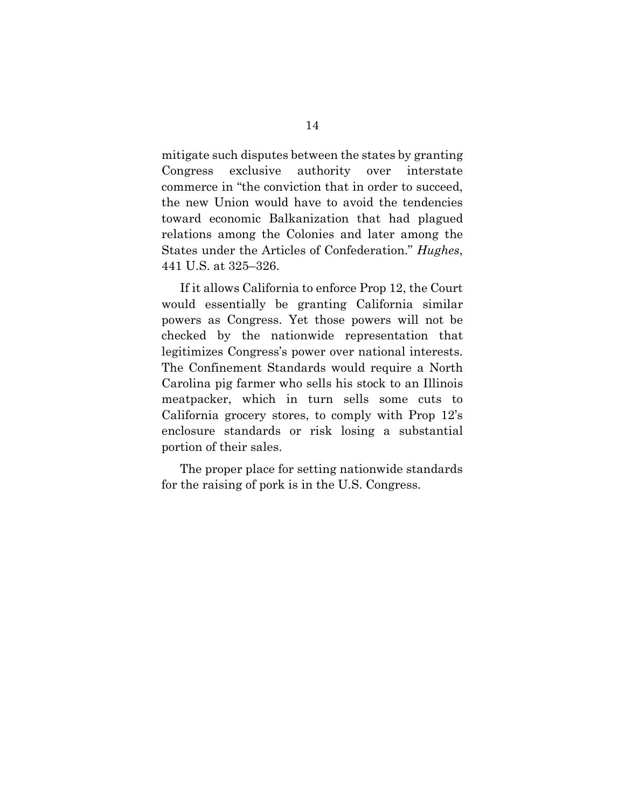mitigate such disputes between the states by granting Congress exclusive authority over interstate commerce in "the conviction that in order to succeed, the new Union would have to avoid the tendencies toward economic Balkanization that had plagued relations among the Colonies and later among the States under the Articles of Confederation." *Hughes*, 441 U.S. at 325–326.

If it allows California to enforce Prop 12, the Court would essentially be granting California similar powers as Congress. Yet those powers will not be checked by the nationwide representation that legitimizes Congress's power over national interests. The Confinement Standards would require a North Carolina pig farmer who sells his stock to an Illinois meatpacker, which in turn sells some cuts to California grocery stores, to comply with Prop 12's enclosure standards or risk losing a substantial portion of their sales.

The proper place for setting nationwide standards for the raising of pork is in the U.S. Congress.